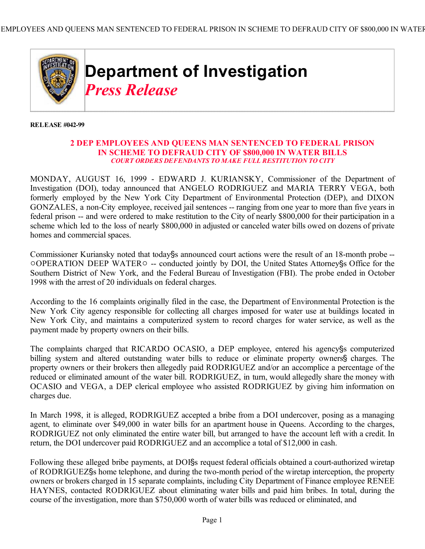

 **RELEASE #042-99** 

## **2 DEP EMPLOYEES AND QUEENS MAN SENTENCED TO FEDERAL PRISON IN SCHEME TO DEFRAUD CITY OF \$800,000 IN WATER BILLS** *COURT ORDERS DEFENDANTS TO MAKE FULL RESTITUTION TO CITY*

MONDAY, AUGUST 16, 1999 - EDWARD J. KURIANSKY, Commissioner of the Department of Investigation (DOI), today announced that ANGELO RODRIGUEZ and MARIA TERRY VEGA, both formerly employed by the New York City Department of Environmental Protection (DEP), and DIXON GONZALES, a non-City employee, received jail sentences -- ranging from one year to more than five years in federal prison -- and were ordered to make restitution to the City of nearly \$800,000 for their participation in a scheme which led to the loss of nearly \$800,000 in adjusted or canceled water bills owed on dozens of private homes and commercial spaces.

Commissioner Kuriansky noted that today§s announced court actions were the result of an 18-month probe -- $\overline{O}$ OPERATION DEEP WATER $\circ$  -- conducted jointly by DOI, the United States Attorney's Office for the Southern District of New York, and the Federal Bureau of Investigation (FBI). The probe ended in October 1998 with the arrest of 20 individuals on federal charges.

According to the 16 complaints originally filed in the case, the Department of Environmental Protection is the New York City agency responsible for collecting all charges imposed for water use at buildings located in New York City, and maintains a computerized system to record charges for water service, as well as the payment made by property owners on their bills.

The complaints charged that RICARDO OCASIO, a DEP employee, entered his agency<sup>§</sup>s computerized billing system and altered outstanding water bills to reduce or eliminate property owners§ charges. The property owners or their brokers then allegedly paid RODRIGUEZ and/or an accomplice a percentage of the reduced or eliminated amount of the water bill. RODRIGUEZ, in turn, would allegedly share the money with OCASIO and VEGA, a DEP clerical employee who assisted RODRIGUEZ by giving him information on charges due.

In March 1998, it is alleged, RODRIGUEZ accepted a bribe from a DOI undercover, posing as a managing agent, to eliminate over \$49,000 in water bills for an apartment house in Queens. According to the charges, RODRIGUEZ not only eliminated the entire water bill, but arranged to have the account left with a credit. In return, the DOI undercover paid RODRIGUEZ and an accomplice a total of \$12,000 in cash.

Following these alleged bribe payments, at DOISs request federal officials obtained a court-authorized wiretap of RODRIGUEZ's home telephone, and during the two-month period of the wiretap interception, the property owners or brokers charged in 15 separate complaints, including City Department of Finance employee RENEE HAYNES, contacted RODRIGUEZ about eliminating water bills and paid him bribes. In total, during the course of the investigation, more than \$750,000 worth of water bills was reduced or eliminated, and